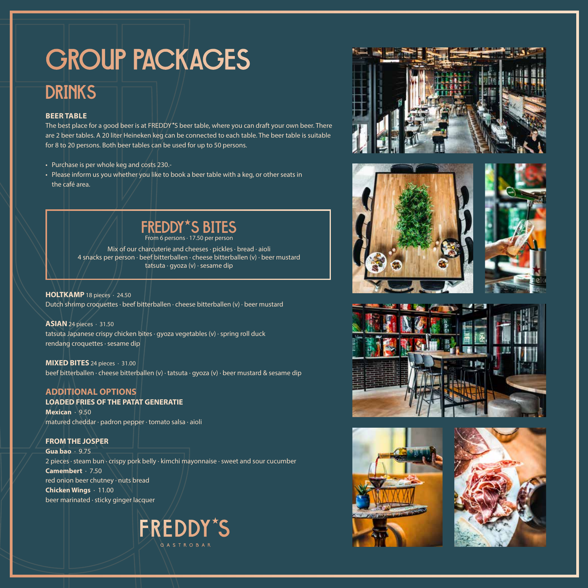# **GROUP PACKAGES**

### DRINKS

#### **BEER TABLE**

The best place for a good beer is at FREDDY\*S beer table, where you can draft your own beer. There are 2 beer tables. A 20 liter Heineken keg can be connected to each table. The beer table is suitable for 8 to 20 persons. Both beer tables can be used for up to 50 persons.

- Purchase is per whole keg and costs 230.-
- Please inform us you whether you like to book a beer table with a keg, or other seats in the café area.

## FREDDY\*S BITES

From 6 persons · 17.50 per person

Mix of our charcuterie and cheeses · pickles · bread · aioli 4 snacks per person · beef bitterballen · cheese bitterballen (v) · beer mustard tatsuta · gyoza (v) · sesame dip

**HOLTKAMP** 18 pieces · 24.50 Dutch shrimp croquettes · beef bitterballen · cheese bitterballen (v) · beer mustard

**ASIAN** 24 pieces · 31.50 tatsuta Japanese crispy chicken bites · gyoza vegetables (v) · spring roll duck rendang croquettes · sesame dip

**MIXED BITES** 24 pieces · 31.00 beef bitterballen · cheese bitterballen (v) · tatsuta · gyoza (v) · beer mustard & sesame dip

#### **ADDITIONAL OPTIONS**

#### **LOADED FRIES OF THE PATAT GENERATIE**

**Mexican** · 9.50 matured cheddar · padron pepper · tomato salsa · aioli

#### **FROM THE JOSPER**

**Gua bao** · 9.75 2 pieces · steam bun · crispy pork belly · kimchi mayonnaise · sweet and sour cucumber **Camembert** · 7.50 red onion beer chutney · nuts bread **Chicken Wings** · 11.00 beer marinated · sticky ginger lacquer













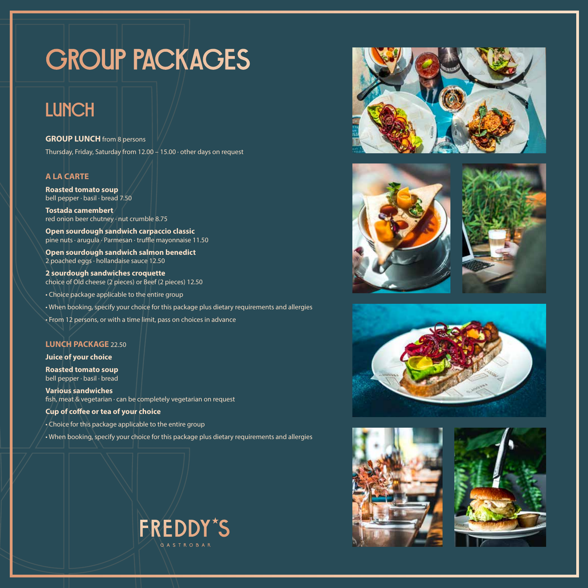# GROUP PACKAGES

## LUNCH

#### **GROUP LUNCH** from 8 persons

Thursday, Friday, Saturday from 12.00 – 15.00 · other days on request

#### **A LA CARTE**

**Roasted tomato soup** bell pepper · basil · bread 7.50

**Tostada camembert** red onion beer chutney · nut crumble 8.75

**Open sourdough sandwich carpaccio classic** pine nuts · arugula · Parmesan · truffle mayonnaise 11.50

**Open sourdough sandwich salmon benedict** 2 poached eggs · hollandaise sauce 12.50

**2 sourdough sandwiches croquette** choice of Old cheese (2 pieces) or Beef (2 pieces) 12.50

• Choice package applicable to the entire group

• When booking, specify your choice for this package plus dietary requirements and allergies

• From 12 persons, or with a time limit, pass on choices in advance

#### **LUNCH PACKAGE** 22.50

#### **Juice of your choice**

**Roasted tomato soup** bell pepper · basil · bread

**Various sandwiches** fish, meat & vegetarian · can be completely vegetarian on request

#### **Cup of coffee or tea of your choice**

• Choice for this package applicable to the entire group

• When booking, specify your choice for this package plus dietary requirements and allergies